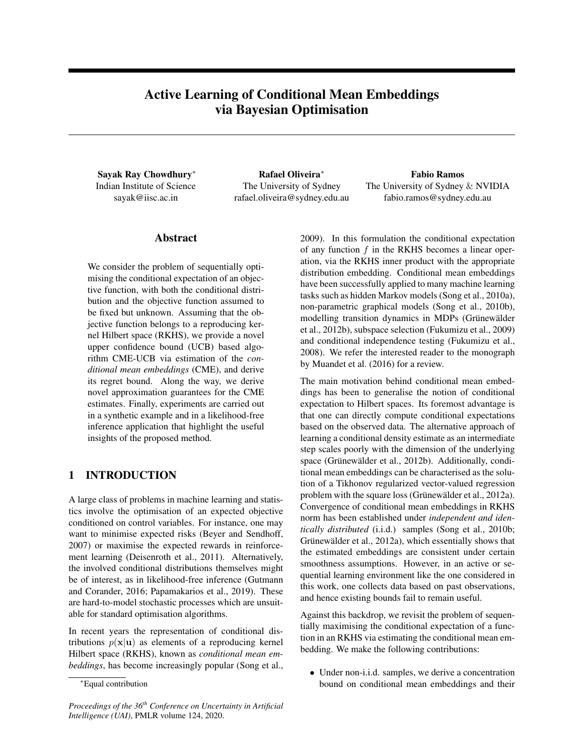# Active Learning of Conditional Mean Embeddings via Bayesian Optimisation

Sayak Ray Chowdhury<sup>∗</sup> Indian Institute of Science sayak@iisc.ac.in

Rafael Oliveira<sup>∗</sup> The University of Sydney rafael.oliveira@sydney.edu.au

Fabio Ramos The University of Sydney & NVIDIA fabio.ramos@sydney.edu.au

## Abstract

We consider the problem of sequentially optimising the conditional expectation of an objective function, with both the conditional distribution and the objective function assumed to be fixed but unknown. Assuming that the objective function belongs to a reproducing kernel Hilbert space (RKHS), we provide a novel upper confidence bound (UCB) based algorithm CME-UCB via estimation of the *conditional mean embeddings* (CME), and derive its regret bound. Along the way, we derive novel approximation guarantees for the CME estimates. Finally, experiments are carried out in a synthetic example and in a likelihood-free inference application that highlight the useful insights of the proposed method.

## 1 INTRODUCTION

A large class of problems in machine learning and statistics involve the optimisation of an expected objective conditioned on control variables. For instance, one may want to minimise expected risks [\(Beyer and Sendhoff,](#page-8-0) [2007\)](#page-8-0) or maximise the expected rewards in reinforcement learning [\(Deisenroth et al., 2011\)](#page-8-1). Alternatively, the involved conditional distributions themselves might be of interest, as in likelihood-free inference [\(Gutmann](#page-9-0) [and Corander, 2016;](#page-9-0) [Papamakarios et al., 2019\)](#page-9-1). These are hard-to-model stochastic processes which are unsuitable for standard optimisation algorithms.

In recent years the representation of conditional distributions  $p(x|u)$  as elements of a reproducing kernel Hilbert space (RKHS), known as *conditional mean embeddings*, has become increasingly popular [\(Song et al.,](#page-9-2)

*Proceedings of the 36th Conference on Uncertainty in Artificial Intelligence (UAI)*, PMLR volume 124, 2020.

[2009\)](#page-9-2). In this formulation the conditional expectation of any function  $f$  in the RKHS becomes a linear operation, via the RKHS inner product with the appropriate distribution embedding. Conditional mean embeddings have been successfully applied to many machine learning tasks such as hidden Markov models [\(Song et al., 2010a\)](#page-9-3), non-parametric graphical models [\(Song et al., 2010b\)](#page-9-4), modelling transition dynamics in MDPs (Grünewälder [et al., 2012b\)](#page-9-5), subspace selection [\(Fukumizu et al., 2009\)](#page-8-2) and conditional independence testing [\(Fukumizu et al.,](#page-8-3) [2008\)](#page-8-3). We refer the interested reader to the monograph by [Muandet et al.](#page-9-6) [\(2016\)](#page-9-6) for a review.

The main motivation behind conditional mean embeddings has been to generalise the notion of conditional expectation to Hilbert spaces. Its foremost advantage is that one can directly compute conditional expectations based on the observed data. The alternative approach of learning a conditional density estimate as an intermediate step scales poorly with the dimension of the underlying space (Grünewälder et al., 2012b). Additionally, conditional mean embeddings can be characterised as the solution of a Tikhonov regularized vector-valued regression problem with the square loss (Grünewälder et al., 2012a). Convergence of conditional mean embeddings in RKHS norm has been established under *independent and identically distributed* (i.i.d.) samples [\(Song et al., 2010b;](#page-9-4) Grünewälder et al., 2012a), which essentially shows that the estimated embeddings are consistent under certain smoothness assumptions. However, in an active or sequential learning environment like the one considered in this work, one collects data based on past observations, and hence existing bounds fail to remain useful.

Against this backdrop, we revisit the problem of sequentially maximising the conditional expectation of a function in an RKHS via estimating the conditional mean embedding. We make the following contributions:

• Under non-i.i.d. samples, we derive a concentration bound on conditional mean embeddings and their

<sup>∗</sup>Equal contribution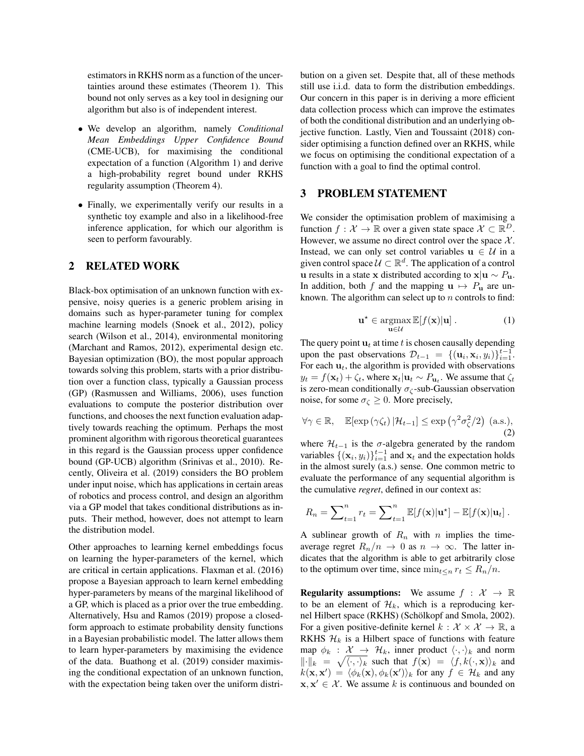estimators in RKHS norm as a function of the uncertainties around these estimates [\(Theorem 1\)](#page-4-0). This bound not only serves as a key tool in designing our algorithm but also is of independent interest.

- We develop an algorithm, namely *Conditional Mean Embeddings Upper Confidence Bound* (CME-UCB), for maximising the conditional expectation of a function [\(Algorithm 1\)](#page-3-0) and derive a high-probability regret bound under RKHS regularity assumption [\(Theorem 4\)](#page-5-0).
- Finally, we experimentally verify our results in a synthetic toy example and also in a likelihood-free inference application, for which our algorithm is seen to perform favourably.

## 2 RELATED WORK

Black-box optimisation of an unknown function with expensive, noisy queries is a generic problem arising in domains such as hyper-parameter tuning for complex machine learning models [\(Snoek et al., 2012\)](#page-9-8), policy search [\(Wilson et al., 2014\)](#page-9-9), environmental monitoring [\(Marchant and Ramos, 2012\)](#page-9-10), experimental design etc. Bayesian optimization (BO), the most popular approach towards solving this problem, starts with a prior distribution over a function class, typically a Gaussian process (GP) [\(Rasmussen and Williams, 2006\)](#page-9-11), uses function evaluations to compute the posterior distribution over functions, and chooses the next function evaluation adaptively towards reaching the optimum. Perhaps the most prominent algorithm with rigorous theoretical guarantees in this regard is the Gaussian process upper confidence bound (GP-UCB) algorithm [\(Srinivas et al., 2010\)](#page-9-12). Recently, [Oliveira et al.](#page-9-13) [\(2019\)](#page-9-13) considers the BO problem under input noise, which has applications in certain areas of robotics and process control, and design an algorithm via a GP model that takes conditional distributions as inputs. Their method, however, does not attempt to learn the distribution model.

Other approaches to learning kernel embeddings focus on learning the hyper-parameters of the kernel, which are critical in certain applications. [Flaxman et al.](#page-8-4) [\(2016\)](#page-8-4) propose a Bayesian approach to learn kernel embedding hyper-parameters by means of the marginal likelihood of a GP, which is placed as a prior over the true embedding. Alternatively, [Hsu and Ramos](#page-9-14) [\(2019\)](#page-9-14) propose a closedform approach to estimate probability density functions in a Bayesian probabilistic model. The latter allows them to learn hyper-parameters by maximising the evidence of the data. [Buathong et al.](#page-8-5) [\(2019\)](#page-8-5) consider maximising the conditional expectation of an unknown function, with the expectation being taken over the uniform distribution on a given set. Despite that, all of these methods still use i.i.d. data to form the distribution embeddings. Our concern in this paper is in deriving a more efficient data collection process which can improve the estimates of both the conditional distribution and an underlying objective function. Lastly, [Vien and Toussaint](#page-9-15) [\(2018\)](#page-9-15) consider optimising a function defined over an RKHS, while we focus on optimising the conditional expectation of a function with a goal to find the optimal control.

## 3 PROBLEM STATEMENT

We consider the optimisation problem of maximising a function  $f: \mathcal{X} \to \mathbb{R}$  over a given state space  $\mathcal{X} \subset \mathbb{R}^D$ . However, we assume no direct control over the space  $X$ . Instead, we can only set control variables  $u \in U$  in a given control space  $\mathcal{U} \subset \mathbb{R}^d$ . The application of a control u results in a state x distributed according to  $x|u \sim P_u$ . In addition, both f and the mapping  $u \mapsto P_u$  are unknown. The algorithm can select up to  $n$  controls to find:

<span id="page-1-1"></span>
$$
\mathbf{u}^{\star} \in \operatorname*{argmax}_{\mathbf{u} \in \mathcal{U}} \mathbb{E}[f(\mathbf{x})|\mathbf{u}]. \tag{1}
$$

<span id="page-1-0"></span>The query point  $u_t$  at time t is chosen causally depending upon the past observations  $\mathcal{D}_{t-1} = \{(\mathbf{u}_i, \mathbf{x}_i, y_i)\}_{i=1}^{t-1}$ . For each  $\mathbf{u}_t$ , the algorithm is provided with observations  $y_t = f(\mathbf{x}_t) + \zeta_t$ , where  $\mathbf{x}_t | \mathbf{u}_t \sim P_{\mathbf{u}_t}$ . We assume that  $\zeta_t$ is zero-mean conditionally  $\sigma_{\zeta}$ -sub-Gaussian observation noise, for some  $\sigma_{\zeta} \geq 0$ . More precisely,

$$
\forall \gamma \in \mathbb{R}, \quad \mathbb{E}[\exp\left(\gamma \zeta_t\right) | \mathcal{H}_{t-1}] \le \exp\left(\gamma^2 \sigma_{\zeta}^2 / 2\right) \text{ (a.s.),}
$$
\n(2)

where  $\mathcal{H}_{t-1}$  is the  $\sigma$ -algebra generated by the random variables  $\{(\mathbf{x}_i, y_i)\}_{i=1}^{t-1}$  and  $\mathbf{x}_t$  and the expectation holds in the almost surely (a.s.) sense. One common metric to evaluate the performance of any sequential algorithm is the cumulative *regret*, defined in our context as:

$$
R_n = \sum_{t=1}^n r_t = \sum_{t=1}^n \mathbb{E}[f(\mathbf{x})|\mathbf{u}^{\star}] - \mathbb{E}[f(\mathbf{x})|\mathbf{u}_t].
$$

A sublinear growth of  $R_n$  with n implies the timeaverage regret  $R_n/n \to 0$  as  $n \to \infty$ . The latter indicates that the algorithm is able to get arbitrarily close to the optimum over time, since  $\min_{t \leq n} r_t \leq R_n/n$ .

**Regularity assumptions:** We assume  $f : \mathcal{X} \to \mathbb{R}$ to be an element of  $\mathcal{H}_k$ , which is a reproducing kernel Hilbert space (RKHS) (Schölkopf and Smola, 2002). For a given positive-definite kernel  $k : \mathcal{X} \times \mathcal{X} \to \mathbb{R}$ , a RKHS  $\mathcal{H}_k$  is a Hilbert space of functions with feature map  $\phi_k$  :  $\mathcal{X} \rightarrow \mathcal{H}_k$ , inner product  $\langle \cdot, \cdot \rangle_k$  and norm  $\|\cdot\|_k = \sqrt{\langle \cdot, \cdot \rangle_k}$  such that  $f(\mathbf{x}) = \langle f, k(\cdot, \mathbf{x}) \rangle_k$  and  $k(\mathbf{x}, \mathbf{x}') = \langle \phi_k(\mathbf{x}), \phi_k(\mathbf{x}') \rangle_k$  for any  $f \in \mathcal{H}_k$  and any  $\mathbf{x}, \mathbf{x}' \in \mathcal{X}$ . We assume k is continuous and bounded on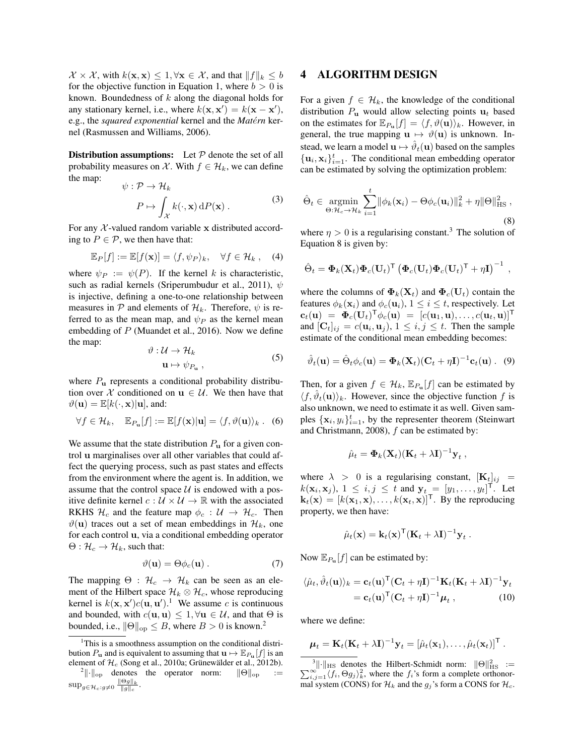$\mathcal{X} \times \mathcal{X}$ , with  $k(\mathbf{x}, \mathbf{x}) \leq 1, \forall \mathbf{x} \in \mathcal{X}$ , and that  $||f||_k \leq b$ for the objective function in [Equation 1,](#page-1-0) where  $b > 0$  is known. Boundedness of k along the diagonal holds for any stationary kernel, i.e., where  $k(\mathbf{x}, \mathbf{x}') = k(\mathbf{x} - \mathbf{x}')$ , e.g., the *squared exponential* kernel and the *Matérn* kernel [\(Rasmussen and Williams, 2006\)](#page-9-11).

**Distribution assumptions:** Let  $P$  denote the set of all probability measures on X. With  $f \in \mathcal{H}_k$ , we can define the map:

$$
\psi : \mathcal{P} \to \mathcal{H}_k
$$
  
\n
$$
P \mapsto \int_{\mathcal{X}} k(\cdot, \mathbf{x}) dP(\mathbf{x}).
$$
\n(3)

For any  $\chi$ -valued random variable x distributed according to  $P \in \mathcal{P}$ , we then have that:

$$
\mathbb{E}_P[f] := \mathbb{E}[f(\mathbf{x})] = \langle f, \psi_P \rangle_k, \quad \forall f \in \mathcal{H}_k , \quad (4)
$$

where  $\psi_P := \psi(P)$ . If the kernel k is characteristic, such as radial kernels [\(Sriperumbudur et al., 2011\)](#page-9-17),  $\psi$ is injective, defining a one-to-one relationship between measures in P and elements of  $\mathcal{H}_k$ . Therefore,  $\psi$  is referred to as the mean map, and  $\psi_P$  as the kernel mean embedding of  $P$  [\(Muandet et al., 2016\)](#page-9-6). Now we define the map:

$$
\vartheta : \mathcal{U} \to \mathcal{H}_k
$$
  

$$
\mathbf{u} \mapsto \psi_{P_{\mathbf{u}}}, \qquad (5)
$$

where  $P_{\bf u}$  represents a conditional probability distribution over X conditioned on  $u \in U$ . We then have that  $\vartheta(\mathbf{u}) = \mathbb{E}[k(\cdot, \mathbf{x})|\mathbf{u}]$ , and:

$$
\forall f \in \mathcal{H}_k, \quad \mathbb{E}_{P_{\mathbf{u}}}[f] := \mathbb{E}[f(\mathbf{x})|\mathbf{u}] = \langle f, \vartheta(\mathbf{u}) \rangle_k. \quad (6)
$$

We assume that the state distribution  $P_{\mathbf{u}}$  for a given control u marginalises over all other variables that could affect the querying process, such as past states and effects from the environment where the agent is. In addition, we assume that the control space  $U$  is endowed with a positive definite kernel  $c : U \times U \rightarrow \mathbb{R}$  with the associated RKHS  $\mathcal{H}_c$  and the feature map  $\phi_c : \mathcal{U} \to \mathcal{H}_c$ . Then  $\vartheta$ (u) traces out a set of mean embeddings in  $\mathcal{H}_k$ , one for each control u, via a conditional embedding operator  $\Theta: \mathcal{H}_c \to \mathcal{H}_k$ , such that:

<span id="page-2-6"></span>
$$
\vartheta(\mathbf{u}) = \Theta \phi_c(\mathbf{u}) \,. \tag{7}
$$

The mapping  $\Theta$  :  $\mathcal{H}_c \rightarrow \mathcal{H}_k$  can be seen as an element of the Hilbert space  $\mathcal{H}_k \otimes \mathcal{H}_c$ , whose reproducing kernel is  $k(\mathbf{x}, \mathbf{x}')c(\mathbf{u}, \mathbf{u}')$ .<sup>[1](#page-2-0)</sup> We assume c is continuous and bounded, with  $c(\mathbf{u}, \mathbf{u}) \leq 1, \forall \mathbf{u} \in \mathcal{U}$ , and that  $\Theta$  is bounded, i.e.,  $\|\Theta\|_{\text{op}} \leq B$ , where  $B > 0$  is known.<sup>[2](#page-2-1)</sup>

## 4 ALGORITHM DESIGN

For a given  $f \in \mathcal{H}_k$ , the knowledge of the conditional distribution  $P_{\mathbf{u}}$  would allow selecting points  $\mathbf{u}_t$  based on the estimates for  $\mathbb{E}_{P_{\mathbf{u}}}[f] = \langle f, \vartheta(\mathbf{u}) \rangle_k$ . However, in general, the true mapping  $\mathbf{u} \mapsto \vartheta(\mathbf{u})$  is unknown. Instead, we learn a model  $\mathbf{u} \mapsto \hat{\vartheta}_t(\mathbf{u})$  based on the samples  $\{u_i, x_i\}_{i=1}^t$ . The conditional mean embedding operator can be estimated by solving the optimization problem:

<span id="page-2-3"></span>
$$
\hat{\Theta}_t \in \underset{\Theta: \mathcal{H}_c \to \mathcal{H}_k}{\text{argmin}} \sum_{i=1}^t \|\phi_k(\mathbf{x}_i) - \Theta \phi_c(\mathbf{u}_i)\|_k^2 + \eta \|\Theta\|_{\text{HS}}^2 ,
$$
\n(8)

where  $\eta > 0$  is a regularising constant.<sup>[3](#page-2-2)</sup> The solution of [Equation 8](#page-2-3) is given by:

$$
\hat{\Theta}_t = \mathbf{\Phi}_k(\mathbf{X}_t) \mathbf{\Phi}_c(\mathbf{U}_t)^{\mathsf{T}} \left( \mathbf{\Phi}_c(\mathbf{U}_t) \mathbf{\Phi}_c(\mathbf{U}_t)^{\mathsf{T}} + \eta \mathbf{I} \right)^{-1},
$$

where the columns of  $\mathbf{\Phi}_k(\mathbf{X}_t)$  and  $\mathbf{\Phi}_c(\mathbf{U}_t)$  contain the features  $\phi_k(\mathbf{x}_i)$  and  $\phi_c(\mathbf{u}_i)$ ,  $1 \leq i \leq t$ , respectively. Let  $\mathbf{c}_t(\mathbf{u}) \; = \; \boldsymbol{\Phi}_c(\mathbf{U}_t)^{\mathsf{T}} \phi_c(\mathbf{u}) \; = \; [c(\mathbf{u}_1, \mathbf{u}), \ldots, c(\mathbf{u}_t, \mathbf{u})]^{\mathsf{T}}$ and  $[\mathbf{C}_t]_{ij} = c(\mathbf{u}_i, \mathbf{u}_j), 1 \leq i, j \leq t$ . Then the sample estimate of the conditional mean embedding becomes:

$$
\hat{\vartheta}_t(\mathbf{u}) = \hat{\Theta}_t \phi_c(\mathbf{u}) = \mathbf{\Phi}_k(\mathbf{X}_t)(\mathbf{C}_t + \eta \mathbf{I})^{-1} \mathbf{c}_t(\mathbf{u}). \quad (9)
$$

Then, for a given  $f \in \mathcal{H}_k$ ,  $\mathbb{E}_{P_u}[f]$  can be estimated by  $\langle f, \hat{\vartheta}_t(\mathbf{u}) \rangle_k$ . However, since the objective function f is also unknown, we need to estimate it as well. Given samples  $\{x_i, y_i\}_{i=1}^t$ , by the representer theorem [\(Steinwart](#page-9-18) [and Christmann, 2008\)](#page-9-18), f can be estimated by:

<span id="page-2-5"></span>
$$
\hat{\mu}_t = \mathbf{\Phi}_k(\mathbf{X}_t)(\mathbf{K}_t + \lambda \mathbf{I})^{-1} \mathbf{y}_t,
$$

where  $\lambda > 0$  is a regularising constant,  $[\mathbf{K}_t]_{ij}$  =  $k(\mathbf{x}_i, \mathbf{x}_j), 1 \leq i, j \leq t$  and  $\mathbf{y}_t = [y_1, \dots, y_t]^\mathsf{T}$ . Let  $\mathbf{k}_t(\mathbf{x}) = [k(\mathbf{x}_1, \mathbf{x}), \dots, k(\mathbf{x}_t, \mathbf{x})]^\mathsf{T}$ . By the reproducing property, we then have:

<span id="page-2-4"></span>
$$
\hat{\mu}_t(\mathbf{x}) = \mathbf{k}_t(\mathbf{x})^\mathsf{T} (\mathbf{K}_t + \lambda \mathbf{I})^{-1} \mathbf{y}_t.
$$

Now  $\mathbb{E}_{P_{\mathbf{u}}}[f]$  can be estimated by:

$$
\langle \hat{\mu}_t, \hat{\vartheta}_t(\mathbf{u}) \rangle_k = \mathbf{c}_t(\mathbf{u})^\top (\mathbf{C}_t + \eta \mathbf{I})^{-1} \mathbf{K}_t (\mathbf{K}_t + \lambda \mathbf{I})^{-1} \mathbf{y}_t
$$
  
=  $\mathbf{c}_t(\mathbf{u})^\top (\mathbf{C}_t + \eta \mathbf{I})^{-1} \boldsymbol{\mu}_t$ , (10)

where we define:

$$
\boldsymbol{\mu}_t = \mathbf{K}_t (\mathbf{K}_t + \lambda \mathbf{I})^{-1} \mathbf{y}_t = [\hat{\mu}_t(\mathbf{x}_1), \dots, \hat{\mu}_t(\mathbf{x}_t)]^\mathsf{T}.
$$

<span id="page-2-0"></span><sup>&</sup>lt;sup>1</sup>This is a smoothness assumption on the conditional distribution  $P_u$  and is equivalent to assuming that  $u \mapsto \mathbb{E}_{P_u}[f]$  is an element of  $\mathcal{H}_c$  [\(Song et al., 2010a;](#page-9-3) Grünewälder et al., 2012b).

<span id="page-2-1"></span><sup>&</sup>lt;sup>2</sup>||·||<sub>op</sub> denotes the operator norm:  $\|\Theta\|_{op}$  :=  $\sup_{g \in \mathcal{H}_c: g \neq 0} \frac{\|\Theta g\|_k}{\|g\|_c}.$ 

<span id="page-2-2"></span><sup>&</sup>lt;sup>3</sup>||·||<sub>HS</sub> denotes the Hilbert-Schmidt norm:  $\|\Theta\|_{\text{HS}}^2 := \sum_{i,j=1}^{\infty} \langle f_i, \Theta g_j \rangle_k^2$ , where the  $f_i$ 's form a complete orthonormal system (CONS) for  $\mathcal{H}_k$  and the  $g_j$ 's form a CONS for  $\mathcal{H}_c$ .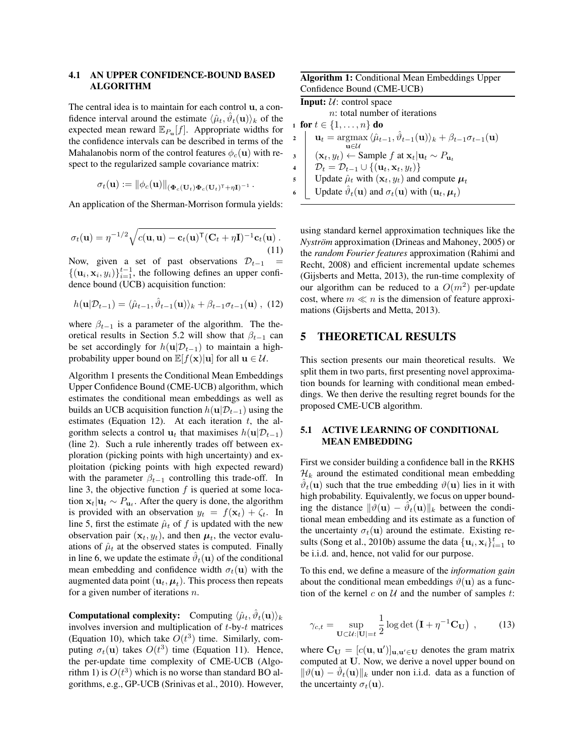## 4.1 AN UPPER CONFIDENCE-BOUND BASED ALGORITHM

The central idea is to maintain for each control u, a confidence interval around the estimate  $\langle \hat{\mu}_t, \hat{\vartheta}_t(\mathbf{u}) \rangle_k$  of the expected mean reward  $\mathbb{E}_{P_{\mathbf{u}}}[f]$ . Appropriate widths for the confidence intervals can be described in terms of the Mahalanobis norm of the control features  $\phi_c(\mathbf{u})$  with respect to the regularized sample covariance matrix:

$$
\sigma_t(\mathbf{u}) := \|\phi_c(\mathbf{u})\|_{(\mathbf{\Phi}_c(\mathbf{U}_t)\mathbf{\Phi}_c(\mathbf{U}_t)^\mathsf{T} + \eta \mathbf{I})^{-1}}\,.
$$

<span id="page-3-6"></span>An application of the Sherman-Morrison formula yields:

$$
\sigma_t(\mathbf{u}) = \eta^{-1/2} \sqrt{c(\mathbf{u}, \mathbf{u}) - \mathbf{c}_t(\mathbf{u})^\mathsf{T} (\mathbf{C}_t + \eta \mathbf{I})^{-1} \mathbf{c}_t(\mathbf{u})} \tag{11}
$$

Now, given a set of past observations  $\mathcal{D}_{t-1}$  =  $\{(\mathbf{u}_i, \mathbf{x}_i, y_i)\}_{i=1}^{t-1}$ , the following defines an upper confidence bound (UCB) acquisition function:

$$
h(\mathbf{u}|\mathcal{D}_{t-1}) = \langle \hat{\mu}_{t-1}, \hat{\vartheta}_{t-1}(\mathbf{u}) \rangle_k + \beta_{t-1}\sigma_{t-1}(\mathbf{u}), \tag{12}
$$

where  $\beta_{t-1}$  is a parameter of the algorithm. The the-oretical results in [Section 5.2](#page-5-1) will show that  $\beta_{t-1}$  can be set accordingly for  $h(\mathbf{u}|\mathcal{D}_{t-1})$  to maintain a highprobability upper bound on  $\mathbb{E}[f(\mathbf{x})|\mathbf{u}]$  for all  $\mathbf{u} \in \mathcal{U}$ .

[Algorithm 1](#page-3-0) presents the Conditional Mean Embeddings Upper Confidence Bound (CME-UCB) algorithm, which estimates the conditional mean embeddings as well as builds an UCB acquisition function  $h(\mathbf{u}|\mathcal{D}_{t-1})$  using the estimates [\(Equation 12\)](#page-3-1). At each iteration  $t$ , the algorithm selects a control  $\mathbf{u}_t$  that maximises  $h(\mathbf{u}|\mathcal{D}_{t-1})$ [\(line 2\)](#page-3-2). Such a rule inherently trades off between exploration (picking points with high uncertainty) and exploitation (picking points with high expected reward) with the parameter  $\beta_{t-1}$  controlling this trade-off. In [line 3,](#page-3-3) the objective function  $f$  is queried at some location  $\mathbf{x}_t | \mathbf{u}_t \sim P_{\mathbf{u}_t}$ . After the query is done, the algorithm is provided with an observation  $y_t = f(\mathbf{x}_t) + \zeta_t$ . In [line 5,](#page-3-4) first the estimate  $\hat{\mu}_t$  of f is updated with the new observation pair  $(\mathbf{x}_t, y_t)$ , and then  $\boldsymbol{\mu}_t$ , the vector evaluations of  $\hat{\mu}_t$  at the observed states is computed. Finally in [line 6,](#page-3-5) we update the estimate  $\hat{\vartheta}_t(\mathbf{u})$  of the conditional mean embedding and confidence width  $\sigma_t(\mathbf{u})$  with the augmented data point  $(\mathbf{u}_t, \boldsymbol{\mu}_t)$ . This process then repeats for a given number of iterations  $n$ .

**Computational complexity:** Computing  $\langle \hat{\mu}_t, \hat{\vartheta}_t(\mathbf{u}) \rangle_k$ involves inversion and multiplication of t-by-t matrices [\(Equation 10\)](#page-2-4), which take  $O(t^3)$  time. Similarly, computing  $\sigma_t(\mathbf{u})$  takes  $O(t^3)$  time [\(Equation 11\)](#page-3-6). Hence, the per-update time complexity of CME-UCB [\(Algo](#page-3-0)[rithm 1\)](#page-3-0) is  $O(t^3)$  which is no worse than standard BO algorithms, e.g., GP-UCB [\(Srinivas et al., 2010\)](#page-9-12). However,

| <b>Algorithm 1:</b> Conditional Mean Embeddings Upper |  |
|-------------------------------------------------------|--|
| Confidence Bound (CME-UCB)                            |  |

<span id="page-3-3"></span><span id="page-3-2"></span><span id="page-3-0"></span>

|                             | <b>Input:</b> $U$ : control space                                                                                                      |  |
|-----------------------------|----------------------------------------------------------------------------------------------------------------------------------------|--|
|                             | $n$ : total number of iterations                                                                                                       |  |
| 1 for $t \in \{1, , n\}$ do |                                                                                                                                        |  |
| $2 \mid$                    | $\mathbf{u}_t = \arg \max \langle \hat{\mu}_{t-1}, \hat{\vartheta}_{t-1}(\mathbf{u}) \rangle_k + \beta_{t-1} \sigma_{t-1}(\mathbf{u})$ |  |
|                             | $n \in \mathcal{U}$                                                                                                                    |  |
| $\overline{\mathbf{3}}$     | $(\mathbf{x}_t, y_t) \leftarrow$ Sample f at $\mathbf{x}_t   \mathbf{u}_t \sim P_{\mathbf{u}_t}$                                       |  |
| $\overline{\mathbf{4}}$     | $\mathcal{D}_t = \mathcal{D}_{t-1} \cup \{(\mathbf{u}_t, \mathbf{x}_t, y_t)\}\$                                                        |  |
| 5                           | Update $\hat{\mu}_t$ with $(\mathbf{x}_t, y_t)$ and compute $\boldsymbol{\mu}_t$                                                       |  |
| 6                           | Update $\hat{\vartheta}_t(\mathbf{u})$ and $\sigma_t(\mathbf{u})$ with $(\mathbf{u}_t, \boldsymbol{\mu}_t)$                            |  |

<span id="page-3-5"></span><span id="page-3-4"></span><span id="page-3-1"></span>using standard kernel approximation techniques like the *Nyström* approximation [\(Drineas and Mahoney, 2005\)](#page-8-6) or the *random Fourier features* approximation [\(Rahimi and](#page-9-19) [Recht, 2008\)](#page-9-19) and efficient incremental update schemes [\(Gijsberts and Metta, 2013\)](#page-8-7), the run-time complexity of our algorithm can be reduced to a  $O(m^2)$  per-update cost, where  $m \ll n$  is the dimension of feature approximations [\(Gijsberts and Metta, 2013\)](#page-8-7).

## 5 THEORETICAL RESULTS

This section presents our main theoretical results. We split them in two parts, first presenting novel approximation bounds for learning with conditional mean embeddings. We then derive the resulting regret bounds for the proposed CME-UCB algorithm.

### 5.1 ACTIVE LEARNING OF CONDITIONAL MEAN EMBEDDING

First we consider building a confidence ball in the RKHS  $\mathcal{H}_k$  around the estimated conditional mean embedding  $\hat{\vartheta}_t(\mathbf{u})$  such that the true embedding  $\vartheta(\mathbf{u})$  lies in it with high probability. Equivalently, we focus on upper bounding the distance  $\|\hat{\theta}(\mathbf{u}) - \hat{\theta}_t(\mathbf{u})\|_k$  between the conditional mean embedding and its estimate as a function of the uncertainty  $\sigma_t(\mathbf{u})$  around the estimate. Existing re-sults [\(Song et al., 2010b\)](#page-9-4) assume the data  $\{\mathbf u_i, \mathbf x_i\}_{i=1}^t$  to be i.i.d. and, hence, not valid for our purpose.

To this end, we define a measure of the *information gain* about the conditional mean embeddings  $\vartheta(\mathbf{u})$  as a function of the kernel  $c$  on  $U$  and the number of samples  $t$ :

<span id="page-3-7"></span>
$$
\gamma_{c,t} = \sup_{\mathbf{U} \subset \mathcal{U}: |\mathbf{U}| = t} \frac{1}{2} \log \det \left( \mathbf{I} + \eta^{-1} \mathbf{C}_{\mathbf{U}} \right) ,\qquad(13)
$$

where  $\mathbf{C}_{\mathbf{U}} = [c(\mathbf{u}, \mathbf{u}')]_{\mathbf{u}, \mathbf{u}' \in \mathbf{U}}$  denotes the gram matrix computed at U. Now, we derive a novel upper bound on  $\|\hat{\theta}(\mathbf{u}) - \hat{\theta}_t(\mathbf{u})\|_k$  under non i.i.d. data as a function of the uncertainty  $\sigma_t(\mathbf{u})$ .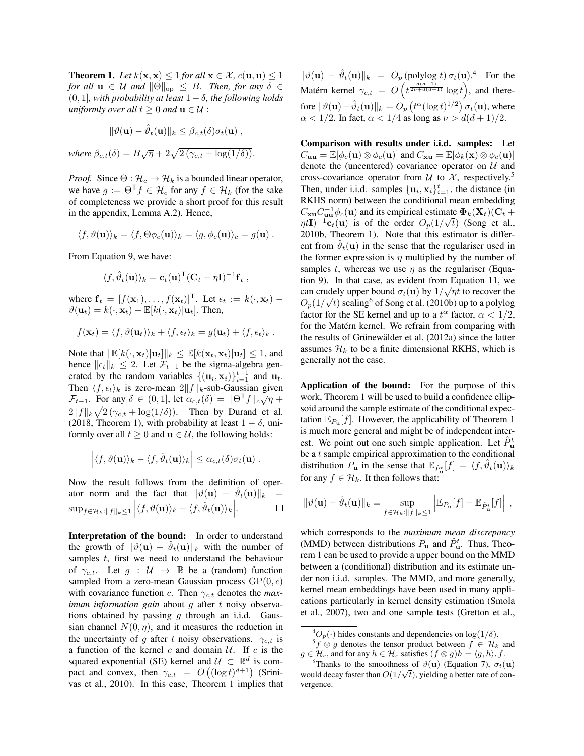<span id="page-4-0"></span>**Theorem 1.** Let  $k(x, x) \leq 1$  for all  $x \in \mathcal{X}$ ,  $c(\mathbf{u}, \mathbf{u}) \leq 1$ *for all*  $\mathbf{u} \in \mathcal{U}$  *and*  $\|\Theta\|_{\text{op}} \leq B$ *. Then, for any*  $\delta \in$ (0, 1]*, with probability at least* 1 − δ*, the following holds uniformly over all*  $t \geq 0$  *and*  $\mathbf{u} \in \mathcal{U}$  :

$$
\|\vartheta(\mathbf{u}) - \hat{\vartheta}_t(\mathbf{u})\|_k \leq \beta_{c,t}(\delta)\sigma_t(\mathbf{u}),
$$
  
where  $\beta_{c,t}(\delta) = B\sqrt{\eta} + 2\sqrt{2(\gamma_{c,t} + \log(1/\delta))}.$ 

*Proof.* Since  $\Theta : \mathcal{H}_c \to \mathcal{H}_k$  is a bounded linear operator, we have  $g := \Theta^{\mathsf{T}} f \in \mathcal{H}_c$  for any  $f \in \mathcal{H}_k$  (for the sake of completeness we provide a short proof for this result in the appendix, [Lemma A.2\)](supplement.pdf{}{}{}#lemma.A.2{}{}{}). Hence,

$$
\langle f, \vartheta(\mathbf{u}) \rangle_k = \langle f, \Theta \phi_c(\mathbf{u}) \rangle_k = \langle g, \phi_c(\mathbf{u}) \rangle_c = g(\mathbf{u}) \ .
$$

From [Equation 9,](#page-2-5) we have:

$$
\langle f, \hat{\vartheta}_t(\mathbf{u}) \rangle_k = \mathbf{c}_t(\mathbf{u})^\mathsf{T} (\mathbf{C}_t + \eta \mathbf{I})^{-1} \mathbf{f}_t ,
$$

where  $f_t = [f(\mathbf{x}_1), \dots, f(\mathbf{x}_t)]^\mathsf{T}$ . Let  $\epsilon_t := k(\cdot, \mathbf{x}_t)$  –  $\vartheta(\mathbf{u}_t) = k(\cdot, \mathbf{x}_t) - \mathbb{E}[k(\cdot, \mathbf{x}_t)|\mathbf{u}_t]$ . Then,

$$
f(\mathbf{x}_t) = \langle f, \vartheta(\mathbf{u}_t) \rangle_k + \langle f, \epsilon_t \rangle_k = g(\mathbf{u}_t) + \langle f, \epsilon_t \rangle_k.
$$

Note that  $\|\mathbb{E}[k(\cdot, \mathbf{x}_t)|\mathbf{u}_t]\|_k \le \mathbb{E}[k(\mathbf{x}_t, \mathbf{x}_t)|\mathbf{u}_t] \le 1$ , and hence  $||\epsilon_t||_k$  ≤ 2. Let  $\mathcal{F}_{t-1}$  be the sigma-algebra generated by the random variables  $\{(\mathbf{u}_i, \mathbf{x}_i)\}_{i=1}^{t-1}$  and  $\mathbf{u}_t$ . Then  $\langle f, \epsilon_t \rangle_k$  is zero-mean  $2||f||_k$ -sub-Gaussian given Ft=1. For any  $\delta \in (0,1]$ , let  $\alpha_{c,t}(\delta) = ||\Theta^T f||_c \sqrt{\eta} +$  $2||f||_k\sqrt{2(\gamma_{c,t}+\log(1/\delta))}$ . Then by [Durand et al.](#page-8-8) [\(2018,](#page-8-8) Theorem 1), with probability at least  $1 - \delta$ , uniformly over all  $t \geq 0$  and  $\mathbf{u} \in \mathcal{U}$ , the following holds:

$$
\left| \langle f, \vartheta(\mathbf{u}) \rangle_k - \langle f, \hat{\vartheta}_t(\mathbf{u}) \rangle_k \right| \leq \alpha_{c,t}(\delta) \sigma_t(\mathbf{u}) .
$$

Now the result follows from the definition of operator norm and the fact that  $\|\vartheta(\mathbf{u}) - \hat{\vartheta}_t(\mathbf{u})\|_{k}$  =  $\sup_{f \in \mathcal{H}_k: ||f||_k \leq 1} \Big| \langle f, \vartheta(\mathbf{u}) \rangle_k - \langle f, \hat{\vartheta}_t(\mathbf{u}) \rangle_k \Big|.$  $\Box$ 

Interpretation of the bound: In order to understand the growth of  $\|\vartheta(\mathbf{u}) - \hat{\vartheta}_t(\mathbf{u})\|_k$  with the number of samples t, first we need to understand the behaviour of  $\gamma_{c,t}$ . Let  $g : \mathcal{U} \to \mathbb{R}$  be a (random) function sampled from a zero-mean Gaussian process  $\text{GP}(0, c)$ with covariance function c. Then  $\gamma_{c,t}$  denotes the *maximum information gain* about *g* after *t* noisy observations obtained by passing  $q$  through an i.i.d. Gaussian channel  $N(0, \eta)$ , and it measures the reduction in the uncertainty of g after t noisy observations.  $\gamma_{c,t}$  is a function of the kernel  $c$  and domain  $U$ . If  $c$  is the squared exponential (SE) kernel and  $\mathcal{U} \subset \mathbb{R}^d$  is compact and convex, then  $\gamma_{c,t} = O((\log t)^{d+1})$  [\(Srini](#page-9-12)[vas et al., 2010\)](#page-9-12). In this case, [Theorem 1](#page-4-0) implies that

 $\|\vartheta(\mathbf{u}) - \hat{\vartheta}_t(\mathbf{u})\|_{k} = O_p(\text{polylog } t) \sigma_t(\mathbf{u}).^4$  $\|\vartheta(\mathbf{u}) - \hat{\vartheta}_t(\mathbf{u})\|_{k} = O_p(\text{polylog } t) \sigma_t(\mathbf{u}).^4$  For the Matérn kernel  $\gamma_{c,t} = O\left(t^{\frac{d(d+1)}{2\nu+d(d+1)}}\log t\right)$ , and therefore  $\|\vartheta(\mathbf{u})-\hat{\vartheta}_t(\mathbf{u})\|_k = O_p\left(t^{\alpha}(\log t)^{1/2}\right)\sigma_t(\mathbf{u})$ , where  $\alpha < 1/2$ . In fact,  $\alpha < 1/4$  as long as  $\nu > d(d+1)/2$ .

Comparison with results under i.i.d. samples: Let  $C_{\mathbf{u}\mathbf{u}} = \mathbb{E}[\phi_c(\mathbf{u}) \otimes \phi_c(\mathbf{u})]$  and  $C_{\mathbf{x}\mathbf{u}} = \mathbb{E}[\phi_k(\mathbf{x}) \otimes \phi_c(\mathbf{u})]$ denote the (uncentered) covariance operator on  $U$  and cross-covariance operator from  $U$  to  $X$ , respectively.<sup>[5](#page-4-2)</sup> Then, under i.i.d. samples  ${\mathbf u}_i, {\mathbf x}_i_{i=1}^t$ , the distance (in RKHS norm) between the conditional mean embedding  $C_{\mathbf{x}\mathbf{u}}C_{\mathbf{u}\mathbf{u}}^{-1}\phi_c(\mathbf{u})$  and its empirical estimate  $\Phi_k(\mathbf{X}_t)(\mathbf{C}_t + \mathbf{A}_t)$  $\eta t \mathbf{I}$ )<sup>-1</sup>**c**<sub>t</sub>(**u**) is of the order  $O_p(1/\sqrt{t})$  [\(Song et al.,](#page-9-4) [2010b,](#page-9-4) Theorem 1). Note that this estimator is different from  $\hat{\vartheta}_t(\mathbf{u})$  in the sense that the regulariser used in the former expression is  $\eta$  multiplied by the number of samples t, whereas we use  $\eta$  as the regulariser [\(Equa](#page-2-5)[tion 9\)](#page-2-5). In that case, as evident from [Equation 11,](#page-3-6) we can crudely upper bound  $\sigma_t(\mathbf{u})$  by  $1/\sqrt{\eta t}$  to recover the  $O_p(1/\sqrt{t})$  scaling $^6$  $^6$  of [Song et al.](#page-9-4) [\(2010b\)](#page-9-4) up to a polylog factor for the SE kernel and up to a  $t^{\alpha}$  factor,  $\alpha < 1/2$ , for the Matérn kernel. We refrain from comparing with the results of Grünewälder et al.  $(2012a)$  since the latter assumes  $\mathcal{H}_k$  to be a finite dimensional RKHS, which is generally not the case.

Application of the bound: For the purpose of this work, [Theorem 1](#page-4-0) will be used to build a confidence ellipsoid around the sample estimate of the conditional expectation  $\mathbb{E}_{P_u}[f]$ . However, the applicability of [Theorem 1](#page-4-0) is much more general and might be of independent interest. We point out one such simple application. Let  $\hat{P}_{\mathbf{u}}^t$ be a  $t$  sample empirical approximation to the conditional distribution  $P_{\mathbf{u}}$  in the sense that  $\mathbb{E}_{\hat{P}_{\mathbf{u}}^{t}}[f] = \langle f, \hat{\vartheta}_{t}(\mathbf{u}) \rangle_{k}$ for any  $f \in \mathcal{H}_k$ . It then follows that:

$$
\|\vartheta(\mathbf{u}) - \hat{\vartheta}_t(\mathbf{u})\|_{k} = \sup_{f \in \mathcal{H}_k : \|f\|_{k} \le 1} \left| \mathbb{E}_{P_{\mathbf{u}}}[f] - \mathbb{E}_{\hat{P}_{\mathbf{u}}^t}[f] \right|,
$$

which corresponds to the *maximum mean discrepancy* (MMD) between distributions  $P_{\mathbf{u}}$  and  $\hat{P}_{\mathbf{u}}^{t}$ . Thus, [Theo](#page-4-0)[rem 1](#page-4-0) can be used to provide a upper bound on the MMD between a (conditional) distribution and its estimate under non i.i.d. samples. The MMD, and more generally, kernel mean embeddings have been used in many applications particularly in kernel density estimation [\(Smola](#page-9-20) [et al., 2007\)](#page-9-20), two and one sample tests [\(Gretton et al.,](#page-8-9)

<span id="page-4-2"></span><span id="page-4-1"></span> ${}^4O_p(\cdot)$  hides constants and dependencies on log(1/ $\delta$ ).

 $^5f \otimes g$  denotes the tensor product between  $f \in \mathcal{H}_k$  and  $g \in \mathcal{H}_c$ , and for any  $h \in \mathcal{H}_c$  satisfies  $(f \otimes g)h = \langle g, h \rangle_c f$ .

<span id="page-4-3"></span><sup>&</sup>lt;sup>6</sup>Thanks to the smoothness of  $\vartheta(\mathbf{u})$  [\(Equation 7\)](#page-2-6),  $\sigma_t(\mathbf{u})$ would decay faster than  $O(1/\sqrt{t})$ , yielding a better rate of convergence.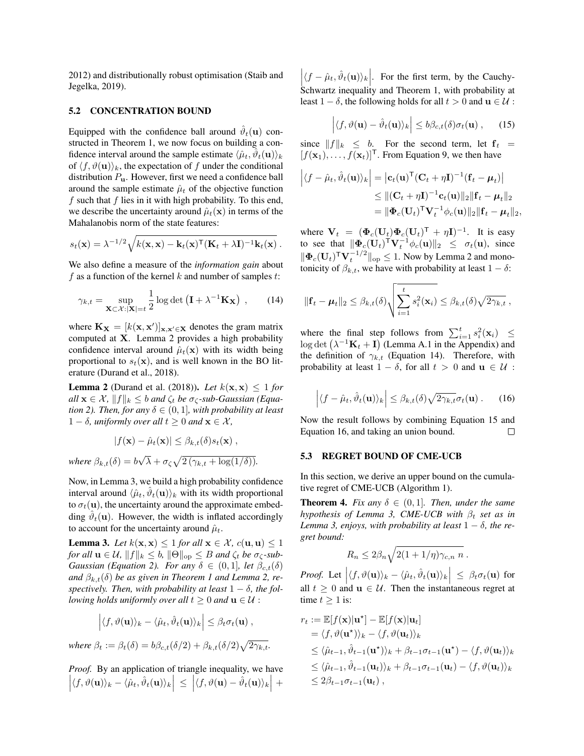[2012\)](#page-8-9) and distributionally robust optimisation [\(Staib and](#page-9-21) [Jegelka, 2019\)](#page-9-21).

#### <span id="page-5-1"></span>5.2 CONCENTRATION BOUND

Equipped with the confidence ball around  $\hat{\vartheta}_t(\mathbf{u})$  constructed in [Theorem 1,](#page-4-0) we now focus on building a confidence interval around the sample estimate  $\langle \hat{\mu}_t, \bar{\hat{\vartheta}}_t(\mathbf{u}) \rangle_k$ of  $\langle f, \vartheta(\mathbf{u})\rangle_k$ , the expectation of f under the conditional distribution  $P_{\mathbf{u}}$ . However, first we need a confidence ball around the sample estimate  $\hat{\mu}_t$  of the objective function  $f$  such that  $f$  lies in it with high probability. To this end, we describe the uncertainty around  $\hat{\mu}_t(\mathbf{x})$  in terms of the Mahalanobis norm of the state features:

$$
s_t(\mathbf{x}) = \lambda^{-1/2} \sqrt{k(\mathbf{x}, \mathbf{x}) - \mathbf{k}_t(\mathbf{x})^\top (\mathbf{K}_t + \lambda \mathbf{I})^{-1} \mathbf{k}_t(\mathbf{x})}.
$$

We also define a measure of the *information gain* about f as a function of the kernel k and number of samples t:

$$
\gamma_{k,t} = \sup_{\mathbf{X} \subset \mathcal{X}: |\mathbf{X}| = t} \frac{1}{2} \log \det \left( \mathbf{I} + \lambda^{-1} \mathbf{K}_{\mathbf{X}} \right) ,\qquad(14)
$$

where  $\mathbf{K}_{\mathbf{X}} = [k(\mathbf{x}, \mathbf{x}')]_{\mathbf{x}, \mathbf{x}' \in \mathbf{X}}$  denotes the gram matrix computed at X. [Lemma 2](#page-5-2) provides a high probability confidence interval around  $\hat{\mu}_t(\mathbf{x})$  with its width being proportional to  $s_t(\mathbf{x})$ , and is well known in the BO literature [\(Durand et al., 2018\)](#page-8-8).

<span id="page-5-2"></span>**Lemma 2** [\(Durand et al.](#page-8-8) [\(2018\)](#page-8-8)). *Let*  $k(x, x) \le 1$  *for*  $all \mathbf{x} \in \mathcal{X}, ||f||_k \leq b$  *and*  $\zeta_t$  *be*  $\sigma_{\zeta}$ *-sub-Gaussian [\(Equa](#page-1-1)[tion 2\)](#page-1-1). Then, for any*  $\delta \in (0,1]$ *, with probability at least* 1 − δ*, uniformly over all*  $t ≥ 0$  *and*  $\mathbf{x} ∈ X$ *,* 

$$
|f(\mathbf{x}) - \hat{\mu}_t(\mathbf{x})| \leq \beta_{k,t}(\delta) s_t(\mathbf{x}),
$$
  
where  $\beta_{k,t}(\delta) = b\sqrt{\lambda} + \sigma_{\zeta} \sqrt{2(\gamma_{k,t} + \log(1/\delta))}.$ 

Now, in Lemma [3,](#page-5-3) we build a high probability confidence interval around  $\langle \hat{\mu}_t, \hat{\vartheta}_t(\mathbf{u}) \rangle_k$  with its width proportional to  $\sigma_t(\mathbf{u})$ , the uncertainty around the approximate embedding  $\hat{\vartheta}_t(\mathbf{u})$ . However, the width is inflated accordingly to account for the uncertainty around  $\hat{\mu}_t$ .

<span id="page-5-3"></span>**Lemma 3.** *Let*  $k(x, x) \leq 1$  *for all*  $x \in \mathcal{X}$ ,  $c(u, u) \leq 1$ *for all*  $\mathbf{u} \in \mathcal{U}$ *,*  $||f||_k \leq b$ *,*  $||\Theta||_{op} \leq B$  *and*  $\zeta_t$  *be*  $\sigma_{\zeta}$ *-sub-Gaussian [\(Equation 2\)](#page-1-1). For any*  $\delta \in (0,1]$ *, let*  $\beta_{c,t}(\delta)$ *and*  $\beta_{k,t}(\delta)$  *be as given in [Theorem 1](#page-4-0) and [Lemma 2,](#page-5-2) respectively. Then, with probability at least*  $1 - \delta$ *, the following holds uniformly over all*  $t \geq 0$  *and*  $\mathbf{u} \in \mathcal{U}$ :

$$
\left| \langle f, \vartheta(\mathbf{u}) \rangle_k - \langle \hat{\mu}_t, \hat{\vartheta}_t(\mathbf{u}) \rangle_k \right| \leq \beta_t \sigma_t(\mathbf{u}),
$$

*where*  $\beta_t := \beta_t(\delta) = b\beta_{c,t}(\delta/2) + \beta_{k,t}(\delta/2)\sqrt{2\gamma_{k,t}}$ .

*Proof.* By an application of triangle inequality, we have  $\left| \langle f,\vartheta({\bf u}) \rangle_k - \langle \hat{\mu}_t,\hat{\vartheta}_t({\bf u}) \rangle_k \right| \ \le \ \left| \langle f,\vartheta({\bf u})-\hat{\vartheta}_t({\bf u}) \rangle_k \right| \ +$ 

 $\left| \langle f - \hat{\mu}_t, \hat{\vartheta}_t(\mathbf{u}) \rangle_k \right|$ . For the first term, by the Cauchy-Schwartz inequality and [Theorem 1,](#page-4-0) with probability at least  $1 - \delta$ , the following holds for all  $t > 0$  and  $\mathbf{u} \in \mathcal{U}$ :

<span id="page-5-5"></span>
$$
\left| \langle f, \vartheta(\mathbf{u}) - \hat{\vartheta}_t(\mathbf{u}) \rangle_k \right| \le b \beta_{c,t}(\delta) \sigma_t(\mathbf{u}), \qquad (15)
$$

since  $||f||_k \leq b$ . For the second term, let  $f_t =$  $[f(\mathbf{x}_1), \dots, f(\mathbf{x}_t)]^{\mathsf{T}}$ . From [Equation 9,](#page-2-5) we then have

$$
\left| \langle f - \hat{\mu}_t, \hat{\vartheta}_t(\mathbf{u}) \rangle_k \right| = \left| \mathbf{c}_t(\mathbf{u})^\mathsf{T} (\mathbf{C}_t + \eta \mathbf{I})^{-1} (\mathbf{f}_t - \boldsymbol{\mu}_t) \right|
$$
  
\n
$$
\leq \| (\mathbf{C}_t + \eta \mathbf{I})^{-1} \mathbf{c}_t(\mathbf{u}) \|_2 \| \mathbf{f}_t - \boldsymbol{\mu}_t \|_2
$$
  
\n
$$
= \| \boldsymbol{\Phi}_c(\mathbf{U}_t)^\mathsf{T} \mathbf{V}_t^{-1} \phi_c(\mathbf{u}) \|_2 \| \mathbf{f}_t - \boldsymbol{\mu}_t \|_2,
$$

where  $\mathbf{V}_t = (\mathbf{\Phi}_c(\mathbf{U}_t) \mathbf{\Phi}_c(\mathbf{U}_t)^\mathsf{T} + \eta \mathbf{I})^{-1}$ . It is easy to see that  $\|\Phi_c(\mathbf{U}_t)^{\mathsf{T}} \mathbf{V}_t^{-1} \phi_c(\mathbf{u})\|_2 \leq \sigma_t(\mathbf{u})$ , since  $\|\mathbf{\Phi}_c(\mathbf{U}_t)^{\mathsf{T}} \mathbf{V}_t^{-1/2}\|_{\text{op}} \leq 1$ . Now by [Lemma 2](#page-5-2) and monotonicity of  $\beta_{k,t}$ , we have with probability at least  $1 - \delta$ :

<span id="page-5-4"></span>
$$
\|\mathbf{f}_t - \boldsymbol{\mu}_t\|_2 \leq \beta_{k,t}(\delta) \sqrt{\sum_{i=1}^t s_i^2(\mathbf{x}_i)} \leq \beta_{k,t}(\delta) \sqrt{2\gamma_{k,t}},
$$

where the final step follows from  $\sum_{i=1}^{t} s_i^2(\mathbf{x}_i) \leq$  $\log \det (\lambda^{-1} \mathbf{K}_t + \mathbf{I})$  [\(Lemma A.1](supplement.pdf{}{}{}#lemma.A.1{}{}{}) in the Appendix) and the definition of  $\gamma_{k,t}$  [\(Equation 14\)](#page-5-4). Therefore, with probability at least  $1 - \delta$ , for all  $t > 0$  and  $u \in U$ :

<span id="page-5-6"></span>
$$
\left| \langle f - \hat{\mu}_t, \hat{\vartheta}_t(\mathbf{u}) \rangle_k \right| \leq \beta_{k,t}(\delta) \sqrt{2 \gamma_{k,t}} \sigma_t(\mathbf{u}). \quad (16)
$$

Now the result follows by combining [Equation 15](#page-5-5) and [Equation 16,](#page-5-6) and taking an union bound.  $\Box$ 

#### 5.3 REGRET BOUND OF CME-UCB

In this section, we derive an upper bound on the cumulative regret of CME-UCB [\(Algorithm 1\)](#page-3-0).

<span id="page-5-0"></span>**Theorem 4.** *Fix any*  $\delta \in (0,1]$ *. Then, under the same hypothesis of [Lemma 3,](#page-5-3) CME-UCB with*  $\beta_t$  *set as in* [Lemma 3,](#page-5-3) enjoys, with probability at least  $1 - \delta$ , the re*gret bound:*

$$
R_n \leq 2\beta_n \sqrt{2(1+1/\eta)\gamma_{c,n} n}.
$$

*Proof.* Let  $|\langle f, \vartheta(\mathbf{u}) \rangle_k - \langle \hat{\mu}_t, \hat{\vartheta}_t(\mathbf{u}) \rangle_k| \leq \beta_t \sigma_t(\mathbf{u})$  for all  $t \geq 0$  and  $\mathbf{u} \in \mathcal{U}$ . Then the instantaneous regret at time  $t \geq 1$  is:

$$
r_t := \mathbb{E}[f(\mathbf{x})|\mathbf{u}^*] - \mathbb{E}[f(\mathbf{x})|\mathbf{u}_t]
$$
  
\n
$$
= \langle f, \vartheta(\mathbf{u}^*) \rangle_k - \langle f, \vartheta(\mathbf{u}_t) \rangle_k
$$
  
\n
$$
\leq \langle \hat{\mu}_{t-1}, \hat{\vartheta}_{t-1}(\mathbf{u}^*) \rangle_k + \beta_{t-1}\sigma_{t-1}(\mathbf{u}^*) - \langle f, \vartheta(\mathbf{u}_t) \rangle_k
$$
  
\n
$$
\leq \langle \hat{\mu}_{t-1}, \hat{\vartheta}_{t-1}(\mathbf{u}_t) \rangle_k + \beta_{t-1}\sigma_{t-1}(\mathbf{u}_t) - \langle f, \vartheta(\mathbf{u}_t) \rangle_k
$$
  
\n
$$
\leq 2\beta_{t-1}\sigma_{t-1}(\mathbf{u}_t),
$$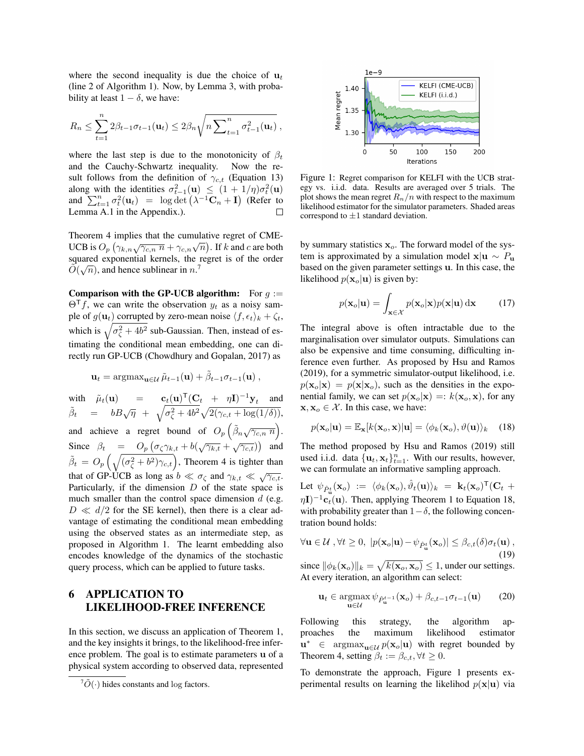where the second inequality is due the choice of  $\mathbf{u}_t$ [\(line 2](#page-3-2) of [Algorithm 1\)](#page-3-0). Now, by [Lemma 3,](#page-5-3) with probability at least  $1 - \delta$ , we have:

$$
R_n \leq \sum_{t=1}^n 2\beta_{t-1}\sigma_{t-1}(\mathbf{u}_t) \leq 2\beta_n \sqrt{n \sum_{t=1}^n \sigma_{t-1}^2(\mathbf{u}_t)},
$$

where the last step is due to the monotonicity of  $\beta_t$ and the Cauchy-Schwartz inequality. Now the result follows from the definition of  $\gamma_{c,t}$  [\(Equation 13\)](#page-3-7) along with the identities  $\sigma_{t-1}^2(\mathbf{u}) \leq (1 + 1/\eta)\sigma_t^2(\mathbf{u})$ and  $\sum_{t=1}^{n} \sigma_t^2(\mathbf{u}_t) = \log \det \left( \lambda^{-1} \mathbf{C}_n + \mathbf{I} \right)$  (Refer to [Lemma A.1](supplement.pdf{}{}{}#lemma.A.1{}{}{}) in the Appendix.).

[Theorem 4](#page-5-0) implies that the cumulative regret of CME-Theorem 4 implies that the cumulative regret of CNE-<br>UCB is  $O_p(\gamma_{k,n}\sqrt{\gamma_{c,n} n} + \gamma_{c,n}\sqrt{n})$ . If k and c are both squared exponential kernels, the regret is of the order  $\tilde{O}(\sqrt{n})$ , and hence sublinear in n.<sup>[7](#page-6-0)</sup>

**Comparison with the GP-UCB algorithm:** For  $g :=$  $\Theta$ <sup>T</sup>f, we can write the observation  $y_t$  as a noisy sample of  $g(\mathbf{u}_t)$  corrupted by zero-mean noise  $\langle f, \epsilon_t \rangle_k + \zeta_t$ , which is  $\sqrt{\sigma_{\zeta}^2 + 4b^2}$  sub-Gaussian. Then, instead of estimating the conditional mean embedding, one can directly run GP-UCB [\(Chowdhury and Gopalan, 2017\)](#page-8-10) as

$$
\mathbf{u}_t = \operatorname{argmax}_{\mathbf{u} \in \mathcal{U}} \tilde{\mu}_{t-1}(\mathbf{u}) + \tilde{\beta}_{t-1} \sigma_{t-1}(\mathbf{u}),
$$

with  $\tilde{\mu}_t(\mathbf{u}) = \mathbf{c}_t(\mathbf{u})^\mathsf{T} (\mathbf{C}_t + \eta \mathbf{I})^{-1} \mathbf{y}_t$  and  $\tilde{\beta}_t = bB\sqrt{\eta} + \sqrt{\sigma_{\zeta}^2 + 4b^2}\sqrt{2(\gamma_{c,t} + \log(1/\delta))},$ and achieve a regret bound of  $O_p\left(\tilde{\beta}_n\sqrt{\gamma_{c,n} n}\right)$ . Since  $\beta_t = O_p \left( \sigma_{\zeta} \gamma_{k,t} + b(\sqrt{\gamma_{k,t}} + \sqrt{\gamma_{c,t}}) \right)$  and  $\tilde{\beta}_t = O_p \left( \sqrt{(\sigma_{\zeta}^2 + b^2) \gamma_{c,t}} \right)$ , [Theorem 4](#page-5-0) is tighter than that of GP-UCB as long as  $b \ll \sigma_{\zeta}$  and  $\gamma_{k,t} \ll \sqrt{\gamma_{c,t}}$ . Particularly, if the dimension  $D$  of the state space is much smaller than the control space dimension  $d$  (e.g.  $D \ll d/2$  for the SE kernel), then there is a clear advantage of estimating the conditional mean embedding using the observed states as an intermediate step, as proposed in [Algorithm 1.](#page-3-0) The learnt embedding also encodes knowledge of the dynamics of the stochastic query process, which can be applied to future tasks.

## 6 APPLICATION TO LIKELIHOOD-FREE INFERENCE

In this section, we discuss an application of [Theorem 1,](#page-4-0) and the key insights it brings, to the likelihood-free inference problem. The goal is to estimate parameters u of a physical system according to observed data, represented



<span id="page-6-2"></span>Figure 1: Regret comparison for KELFI with the UCB strategy vs. i.i.d. data. Results are averaged over 5 trials. The plot shows the mean regret  $R_n/n$  with respect to the maximum likelihood estimator for the simulator parameters. Shaded areas correspond to  $\pm 1$  standard deviation.

by summary statistics  $x<sub>o</sub>$ . The forward model of the system is approximated by a simulation model  $x|u \sim P_u$ based on the given parameter settings u. In this case, the likelihood  $p(\mathbf{x}_o|\mathbf{u})$  is given by:

$$
p(\mathbf{x}_o|\mathbf{u}) = \int_{\mathbf{x} \in \mathcal{X}} p(\mathbf{x}_o|\mathbf{x}) p(\mathbf{x}|\mathbf{u}) \, \mathrm{d}\mathbf{x} \tag{17}
$$

The integral above is often intractable due to the marginalisation over simulator outputs. Simulations can also be expensive and time consuming, difficulting inference even further. As proposed by [Hsu and Ramos](#page-9-14) [\(2019\)](#page-9-14), for a symmetric simulator-output likelihood, i.e.  $p(\mathbf{x}_o|\mathbf{x}) = p(\mathbf{x}|\mathbf{x}_o)$ , such as the densities in the exponential family, we can set  $p(\mathbf{x}_o|\mathbf{x}) =: k(\mathbf{x}_o, \mathbf{x})$ , for any  $x, x_o \in \mathcal{X}$ . In this case, we have:

<span id="page-6-1"></span>
$$
p(\mathbf{x}_o|\mathbf{u}) = \mathbb{E}_{\mathbf{x}}[k(\mathbf{x}_o, \mathbf{x})|\mathbf{u}] = \langle \phi_k(\mathbf{x}_o), \vartheta(\mathbf{u}) \rangle_k \quad (18)
$$

The method proposed by [Hsu and Ramos](#page-9-14) [\(2019\)](#page-9-14) still used i.i.d. data  $\{\mathbf u_t, \mathbf x_t\}_{t=1}^n$ . With our results, however, we can formulate an informative sampling approach.

Let  $\psi_{\hat{P}^t_{\mathbf{u}}}(\mathbf{x}_o) := \langle \phi_k(\mathbf{x}_o), \hat{\vartheta}_t(\mathbf{u}) \rangle_k = \mathbf{k}_t(\mathbf{x}_o)^\mathsf{T}(\mathbf{C}_t + \mathbf{C}_t)$  $\eta I)^{-1}$ **c**<sub>t</sub>(**u**). Then, applying [Theorem 1](#page-4-0) to [Equation 18,](#page-6-1) with probability greater than  $1-\delta$ , the following concentration bound holds:

$$
\forall \mathbf{u} \in \mathcal{U}, \forall t \ge 0, \ |p(\mathbf{x}_o|\mathbf{u}) - \psi_{\hat{P}^t_{\mathbf{u}}}(\mathbf{x}_o)| \le \beta_{c,t}(\delta)\sigma_t(\mathbf{u}), \tag{19}
$$

since  $\|\phi_k(\mathbf{x}_o)\|_k = \sqrt{k(\mathbf{x}_o, \mathbf{x}_o)} \leq 1$ , under our settings. At every iteration, an algorithm can select:

$$
\mathbf{u}_t \in \operatorname*{argmax}_{\mathbf{u} \in \mathcal{U}} \psi_{\hat{P}_{\mathbf{u}}^{t-1}}(\mathbf{x}_o) + \beta_{c,t-1} \sigma_{t-1}(\mathbf{u}) \qquad (20)
$$

Following this strategy, the algorithm approaches the maximum likelihood estimator  $\mathbf{u}^* \in \operatorname{argmax}_{\mathbf{u} \in \mathcal{U}} p(\mathbf{x}_o | \mathbf{u})$  with regret bounded by [Theorem 4,](#page-5-0) setting  $\beta_t := \beta_{c,t}, \forall t \geq 0$ .

To demonstrate the approach, [Figure 1](#page-6-2) presents experimental results on learning the likelihod  $p(\mathbf{x}|\mathbf{u})$  via

<span id="page-6-0"></span> ${}^{7}\tilde{O}(\cdot)$  hides constants and log factors.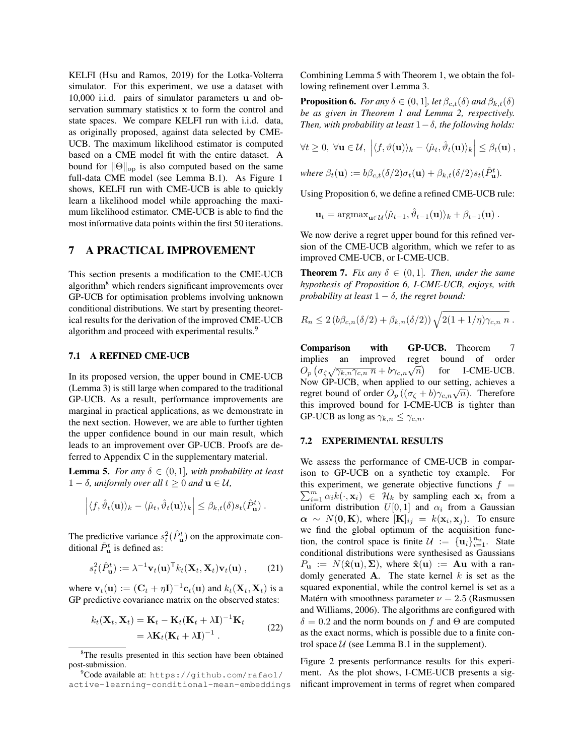KELFI [\(Hsu and Ramos, 2019\)](#page-9-14) for the Lotka-Volterra simulator. For this experiment, we use a dataset with 10,000 i.i.d. pairs of simulator parameters u and observation summary statistics x to form the control and state spaces. We compare KELFI run with i.i.d. data, as originally proposed, against data selected by CME-UCB. The maximum likelihood estimator is computed based on a CME model fit with the entire dataset. A bound for  $\|\Theta\|_{\text{op}}$  is also computed based on the same full-data CME model (see [Lemma B.1\)](supplement.pdf{}{}{}#lemma.B.1{}{}{}). As [Figure 1](#page-6-2) shows, KELFI run with CME-UCB is able to quickly learn a likelihood model while approaching the maximum likelihood estimator. CME-UCB is able to find the most informative data points within the first 50 iterations.

## 7 A PRACTICAL IMPROVEMENT

This section presents a modification to the CME-UCB algorithm<sup>[8](#page-7-0)</sup> which renders significant improvements over GP-UCB for optimisation problems involving unknown conditional distributions. We start by presenting theoretical results for the derivation of the improved CME-UCB algorithm and proceed with experimental results.<sup>[9](#page-7-1)</sup>

## 7.1 A REFINED CME-UCB

In its proposed version, the upper bound in CME-UCB [\(Lemma 3\)](#page-5-3) is still large when compared to the traditional GP-UCB. As a result, performance improvements are marginal in practical applications, as we demonstrate in the next section. However, we are able to further tighten the upper confidence bound in our main result, which leads to an improvement over GP-UCB. Proofs are deferred to [Appendix C](supplement.pdf{}{}{}#appendix.C{}{}{}) in the supplementary material.

<span id="page-7-2"></span>**Lemma 5.** *For any*  $\delta \in (0,1]$ *, with probability at least* 1 −  $\delta$ *, uniformly over all*  $t \ge 0$  *and*  $u \in U$ *,* 

$$
\left| \langle f, \hat{\vartheta}_t(\mathbf{u}) \rangle_k - \langle \hat{\mu}_t, \hat{\vartheta}_t(\mathbf{u}) \rangle_k \right| \leq \beta_{k,t}(\delta) s_t(\hat{P}_{\mathbf{u}}^t).
$$

The predictive variance  $s_t^2(\hat{P}_u^t)$  on the approximate conditional  $\hat{P}_{\mathbf{u}}^{t}$  is defined as:

$$
s_t^2(\hat{P}_{\mathbf{u}}^t) := \lambda^{-1} \mathbf{v}_t(\mathbf{u})^\top k_t(\mathbf{X}_t, \mathbf{X}_t) \mathbf{v}_t(\mathbf{u}), \qquad (21)
$$

where  $\mathbf{v}_t(\mathbf{u}) := (\mathbf{C}_t + \eta \mathbf{I})^{-1} \mathbf{c}_t(\mathbf{u})$  and  $k_t(\mathbf{X}_t, \mathbf{X}_t)$  is a GP predictive covariance matrix on the observed states:

$$
k_t(\mathbf{X}_t, \mathbf{X}_t) = \mathbf{K}_t - \mathbf{K}_t (\mathbf{K}_t + \lambda \mathbf{I})^{-1} \mathbf{K}_t
$$
  
=  $\lambda \mathbf{K}_t (\mathbf{K}_t + \lambda \mathbf{I})^{-1}$ . (22)

Combining [Lemma 5](#page-7-2) with Theorem 1, we obtain the following refinement over [Lemma 3.](#page-5-3)

<span id="page-7-3"></span>**Proposition 6.** *For any*  $\delta \in (0,1]$ *, let*  $\beta_{c,t}(\delta)$  *and*  $\beta_{k,t}(\delta)$ *be as given in Theorem 1 and Lemma 2, respectively. Then, with probability at least*  $1 - \delta$ *, the following holds:* 

$$
\forall t \geq 0, \ \forall \mathbf{u} \in \mathcal{U}, \ \left| \langle f, \vartheta(\mathbf{u}) \rangle_k - \langle \hat{\mu}_t, \hat{\vartheta}_t(\mathbf{u}) \rangle_k \right| \leq \beta_t(\mathbf{u}),
$$

where 
$$
\beta_t(\mathbf{u}) := b\beta_{c,t}(\delta/2)\sigma_t(\mathbf{u}) + \beta_{k,t}(\delta/2)s_t(\hat{P}_{\mathbf{u}}^t).
$$

Using [Proposition 6,](#page-7-3) we define a refined CME-UCB rule:

$$
\mathbf{u}_t = \mathrm{argmax}_{\mathbf{u} \in \mathcal{U}} \langle \hat{\mu}_{t-1}, \hat{\vartheta}_{t-1}(\mathbf{u}) \rangle_k + \beta_{t-1}(\mathbf{u}) \, .
$$

We now derive a regret upper bound for this refined version of the CME-UCB algorithm, which we refer to as improved CME-UCB, or I-CME-UCB.

<span id="page-7-4"></span>**Theorem 7.** *Fix any*  $\delta \in (0,1]$ *. Then, under the same hypothesis of [Proposition 6,](#page-7-3) I-CME-UCB, enjoys, with probability at least*  $1 - \delta$ *, the regret bound:* 

$$
R_n \leq 2 (b\beta_{c,n}(\delta/2) + \beta_{k,n}(\delta/2)) \sqrt{2(1 + 1/\eta)\gamma_{c,n} n}.
$$

Comparison with GP-UCB. [Theorem 7](#page-7-4) implies an improved regret bound of order mplies an improved regret<br>  $O_p \left( \sigma_{\zeta} \sqrt{\gamma_{k,n} \gamma_{c,n} n} + b \gamma_{c,n} \sqrt{n} \right)$ for I-CME-UCB. Now GP-UCB, when applied to our setting, achieves a regret bound of order  $O_p((\sigma_{\zeta} + b)\gamma_{c,n}\sqrt{n})$ . Therefore this improved bound for I-CME-UCB is tighter than GP-UCB as long as  $\gamma_{k,n} \leq \gamma_{c,n}$ .

#### 7.2 EXPERIMENTAL RESULTS

We assess the performance of CME-UCB in comparison to GP-UCB on a synthetic toy example. For  $\sum_{i=1}^{m} \alpha_i k(\cdot, \mathbf{x}_i) \in \mathcal{H}_k$  by sampling each  $\mathbf{x}_i$  from a this experiment, we generate objective functions  $f =$ uniform distribution  $U[0, 1]$  and  $\alpha_i$  from a Gaussian  $\alpha \sim N(0, K)$ , where  $[K]_{ij} = k(\mathbf{x}_i, \mathbf{x}_j)$ . To ensure we find the global optimum of the acquisition function, the control space is finite  $\mathcal{U} := {\mathbf{u}_i}_{i=1}^{n_u}$ . State conditional distributions were synthesised as Gaussians  $P_{\mathbf{u}} := N(\hat{\mathbf{x}}(\mathbf{u}), \Sigma)$ , where  $\hat{\mathbf{x}}(\mathbf{u}) := \mathbf{A}\mathbf{u}$  with a randomly generated  $A$ . The state kernel  $k$  is set as the squared exponential, while the control kernel is set as a Matérn with smoothness parameter  $\nu = 2.5$  [\(Rasmussen](#page-9-11) [and Williams, 2006\)](#page-9-11). The algorithms are configured with  $\delta = 0.2$  and the norm bounds on f and  $\Theta$  are computed as the exact norms, which is possible due to a finite control space  $U$  (see [Lemma B.1](supplement.pdf{}{}{}#lemma.B.1{}{}{}) in the supplement).

[Figure 2](#page-8-11) presents performance results for this experiment. As the plot shows, I-CME-UCB presents a significant improvement in terms of regret when compared

<span id="page-7-0"></span><sup>8</sup>The results presented in this section have been obtained post-submission.

<span id="page-7-1"></span><sup>9</sup>Code available at: [https://github.com/rafaol/](https://github.com/rafaol/active-learning-conditional-mean-embeddings) [active-learning-conditional-mean-embeddings](https://github.com/rafaol/active-learning-conditional-mean-embeddings)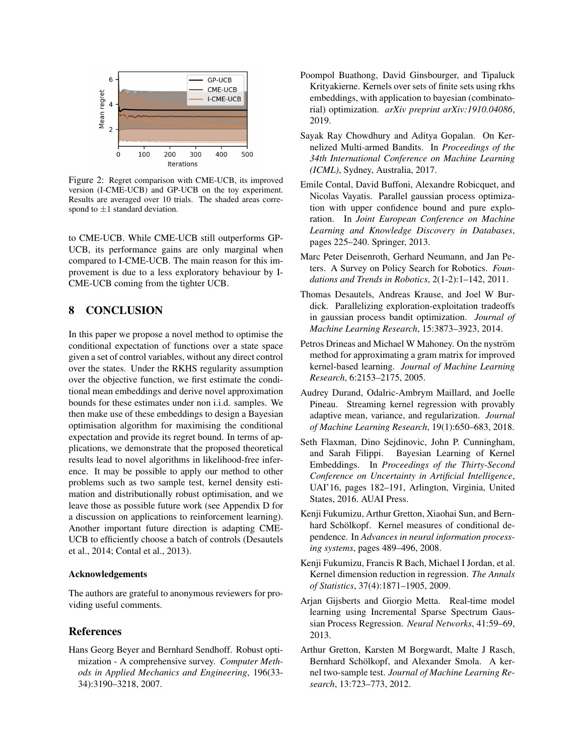

<span id="page-8-11"></span>Figure 2: Regret comparison with CME-UCB, its improved version (I-CME-UCB) and GP-UCB on the toy experiment. Results are averaged over 10 trials. The shaded areas correspond to  $\pm 1$  standard deviation.

to CME-UCB. While CME-UCB still outperforms GP-UCB, its performance gains are only marginal when compared to I-CME-UCB. The main reason for this improvement is due to a less exploratory behaviour by I-CME-UCB coming from the tighter UCB.

## 8 CONCLUSION

In this paper we propose a novel method to optimise the conditional expectation of functions over a state space given a set of control variables, without any direct control over the states. Under the RKHS regularity assumption over the objective function, we first estimate the conditional mean embeddings and derive novel approximation bounds for these estimates under non i.i.d. samples. We then make use of these embeddings to design a Bayesian optimisation algorithm for maximising the conditional expectation and provide its regret bound. In terms of applications, we demonstrate that the proposed theoretical results lead to novel algorithms in likelihood-free inference. It may be possible to apply our method to other problems such as two sample test, kernel density estimation and distributionally robust optimisation, and we leave those as possible future work (see [Appendix D](supplement.pdf{}{}{}#appendix.D{}{}{}) for a discussion on applications to reinforcement learning). Another important future direction is adapting CME-UCB to efficiently choose a batch of controls [\(Desautels](#page-8-12) [et al., 2014;](#page-8-12) [Contal et al., 2013\)](#page-8-13).

## Acknowledgements

The authors are grateful to anonymous reviewers for providing useful comments.

## References

<span id="page-8-0"></span>Hans Georg Beyer and Bernhard Sendhoff. Robust optimization - A comprehensive survey. *Computer Methods in Applied Mechanics and Engineering*, 196(33- 34):3190–3218, 2007.

- <span id="page-8-5"></span>Poompol Buathong, David Ginsbourger, and Tipaluck Krityakierne. Kernels over sets of finite sets using rkhs embeddings, with application to bayesian (combinatorial) optimization. *arXiv preprint arXiv:1910.04086*, 2019.
- <span id="page-8-10"></span>Sayak Ray Chowdhury and Aditya Gopalan. On Kernelized Multi-armed Bandits. In *Proceedings of the 34th International Conference on Machine Learning (ICML)*, Sydney, Australia, 2017.
- <span id="page-8-13"></span>Emile Contal, David Buffoni, Alexandre Robicquet, and Nicolas Vayatis. Parallel gaussian process optimization with upper confidence bound and pure exploration. In *Joint European Conference on Machine Learning and Knowledge Discovery in Databases*, pages 225–240. Springer, 2013.
- <span id="page-8-1"></span>Marc Peter Deisenroth, Gerhard Neumann, and Jan Peters. A Survey on Policy Search for Robotics. *Foundations and Trends in Robotics*, 2(1-2):1–142, 2011.
- <span id="page-8-12"></span>Thomas Desautels, Andreas Krause, and Joel W Burdick. Parallelizing exploration-exploitation tradeoffs in gaussian process bandit optimization. *Journal of Machine Learning Research*, 15:3873–3923, 2014.
- <span id="page-8-6"></span>Petros Drineas and Michael W Mahoney. On the nyström method for approximating a gram matrix for improved kernel-based learning. *Journal of Machine Learning Research*, 6:2153–2175, 2005.
- <span id="page-8-8"></span>Audrey Durand, Odalric-Ambrym Maillard, and Joelle Pineau. Streaming kernel regression with provably adaptive mean, variance, and regularization. *Journal of Machine Learning Research*, 19(1):650–683, 2018.
- <span id="page-8-4"></span>Seth Flaxman, Dino Sejdinovic, John P. Cunningham, and Sarah Filippi. Bayesian Learning of Kernel Embeddings. In *Proceedings of the Thirty-Second Conference on Uncertainty in Artificial Intelligence*, UAI'16, pages 182–191, Arlington, Virginia, United States, 2016. AUAI Press.
- <span id="page-8-3"></span>Kenji Fukumizu, Arthur Gretton, Xiaohai Sun, and Bernhard Schölkopf. Kernel measures of conditional dependence. In *Advances in neural information processing systems*, pages 489–496, 2008.
- <span id="page-8-2"></span>Kenji Fukumizu, Francis R Bach, Michael I Jordan, et al. Kernel dimension reduction in regression. *The Annals of Statistics*, 37(4):1871–1905, 2009.
- <span id="page-8-7"></span>Arjan Gijsberts and Giorgio Metta. Real-time model learning using Incremental Sparse Spectrum Gaussian Process Regression. *Neural Networks*, 41:59–69, 2013.
- <span id="page-8-9"></span>Arthur Gretton, Karsten M Borgwardt, Malte J Rasch, Bernhard Schölkopf, and Alexander Smola. A kernel two-sample test. *Journal of Machine Learning Research*, 13:723–773, 2012.